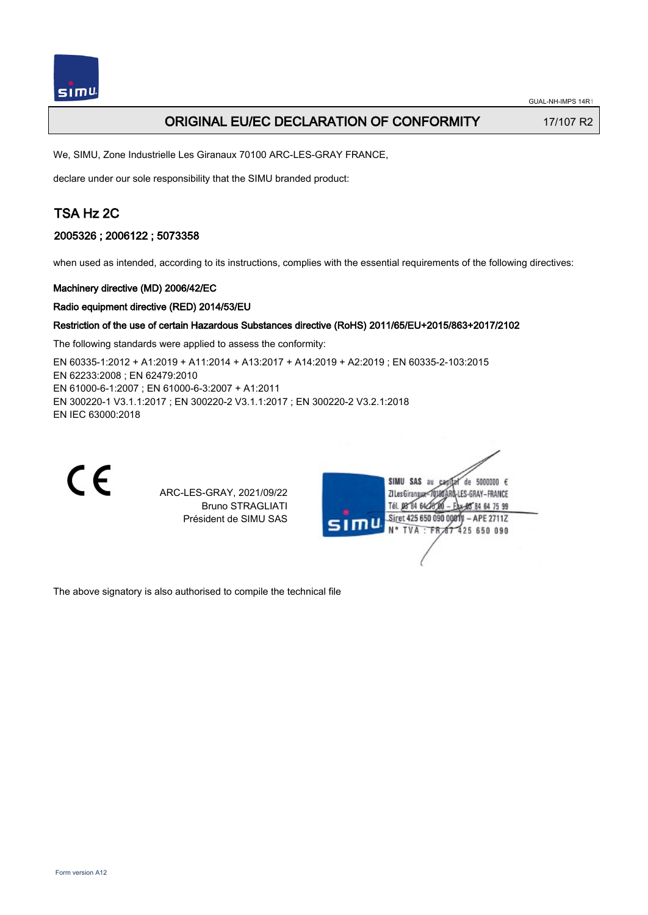

## ORIGINAL EU/EC DECLARATION OF CONFORMITY 17/107 R2

We, SIMU, Zone Industrielle Les Giranaux 70100 ARC-LES-GRAY FRANCE,

declare under our sole responsibility that the SIMU branded product:

# TSA Hz 2C

## 2005326 ; 2006122 ; 5073358

when used as intended, according to its instructions, complies with the essential requirements of the following directives:

## Machinery directive (MD) 2006/42/EC

### Radio equipment directive (RED) 2014/53/EU

### Restriction of the use of certain Hazardous Substances directive (RoHS) 2011/65/EU+2015/863+2017/2102

The following standards were applied to assess the conformity:

EN 60335‑1:2012 + A1:2019 + A11:2014 + A13:2017 + A14:2019 + A2:2019 ; EN 60335‑2‑103:2015 EN 62233:2008 ; EN 62479:2010 EN 61000‑6‑1:2007 ; EN 61000‑6‑3:2007 + A1:2011 EN 300220‑1 V3.1.1:2017 ; EN 300220‑2 V3.1.1:2017 ; EN 300220‑2 V3.2.1:2018 EN IEC 63000:2018



ARC-LES-GRAY, 2021/09/22 Bruno STRAGLIATI Président de SIMU SAS



The above signatory is also authorised to compile the technical file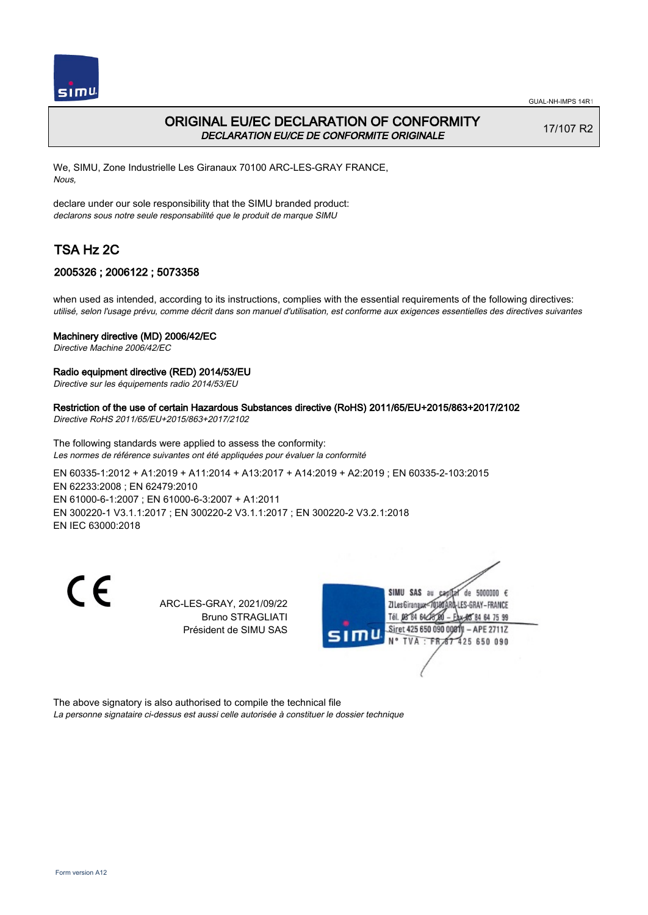

## ORIGINAL EU/EC DECLARATION OF CONFORMITY DECLARATION EU/CE DE CONFORMITE ORIGINALE

17/107 R2

We, SIMU, Zone Industrielle Les Giranaux 70100 ARC-LES-GRAY FRANCE, Nous,

declare under our sole responsibility that the SIMU branded product: declarons sous notre seule responsabilité que le produit de marque SIMU

# TSA Hz 2C

## 2005326 ; 2006122 ; 5073358

when used as intended, according to its instructions, complies with the essential requirements of the following directives: utilisé, selon l'usage prévu, comme décrit dans son manuel d'utilisation, est conforme aux exigences essentielles des directives suivantes

### Machinery directive (MD) 2006/42/EC

Directive Machine 2006/42/EC

### Radio equipment directive (RED) 2014/53/EU

Directive sur les équipements radio 2014/53/EU

### Restriction of the use of certain Hazardous Substances directive (RoHS) 2011/65/EU+2015/863+2017/2102

Directive RoHS 2011/65/EU+2015/863+2017/2102

The following standards were applied to assess the conformity: Les normes de référence suivantes ont été appliquées pour évaluer la conformité

EN 60335‑1:2012 + A1:2019 + A11:2014 + A13:2017 + A14:2019 + A2:2019 ; EN 60335‑2‑103:2015 EN 62233:2008 ; EN 62479:2010 EN 61000‑6‑1:2007 ; EN 61000‑6‑3:2007 + A1:2011 EN 300220‑1 V3.1.1:2017 ; EN 300220‑2 V3.1.1:2017 ; EN 300220‑2 V3.2.1:2018 EN IEC 63000:2018

 $\epsilon$ 

ARC-LES-GRAY, 2021/09/22 Bruno STRAGLIATI Président de SIMU SAS



The above signatory is also authorised to compile the technical file La personne signataire ci-dessus est aussi celle autorisée à constituer le dossier technique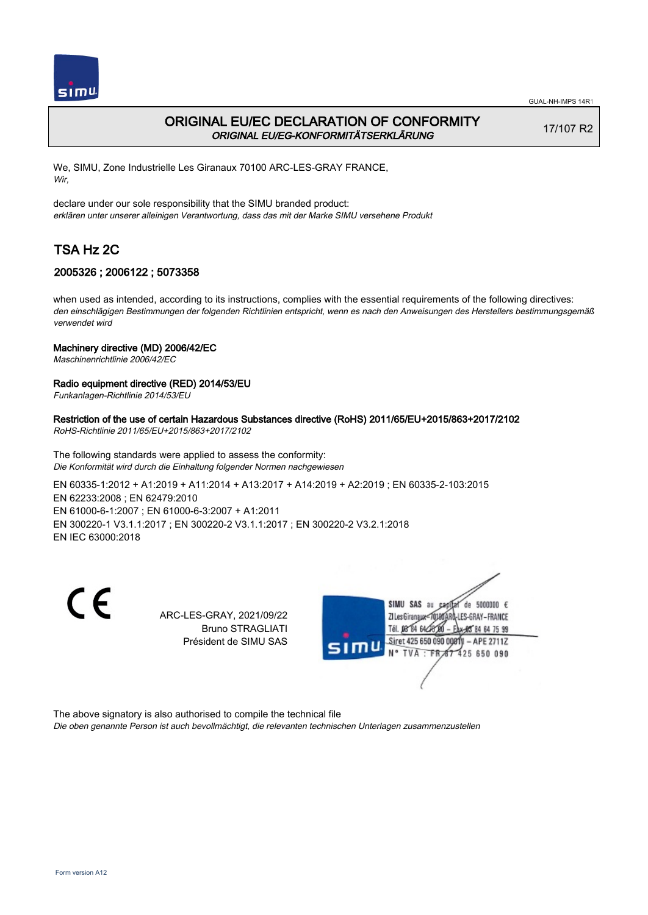

## ORIGINAL EU/EC DECLARATION OF CONFORMITY ORIGINAL EU/EG-KONFORMITÄTSERKLÄRUNG

17/107 R2

We, SIMU, Zone Industrielle Les Giranaux 70100 ARC-LES-GRAY FRANCE, Wir,

declare under our sole responsibility that the SIMU branded product: erklären unter unserer alleinigen Verantwortung, dass das mit der Marke SIMU versehene Produkt

# TSA Hz 2C

## 2005326 ; 2006122 ; 5073358

when used as intended, according to its instructions, complies with the essential requirements of the following directives: den einschlägigen Bestimmungen der folgenden Richtlinien entspricht, wenn es nach den Anweisungen des Herstellers bestimmungsgemäß verwendet wird

### Machinery directive (MD) 2006/42/EC

Maschinenrichtlinie 2006/42/EC

### Radio equipment directive (RED) 2014/53/EU

Funkanlagen-Richtlinie 2014/53/EU

## Restriction of the use of certain Hazardous Substances directive (RoHS) 2011/65/EU+2015/863+2017/2102

RoHS-Richtlinie 2011/65/EU+2015/863+2017/2102

The following standards were applied to assess the conformity: Die Konformität wird durch die Einhaltung folgender Normen nachgewiesen

EN 60335‑1:2012 + A1:2019 + A11:2014 + A13:2017 + A14:2019 + A2:2019 ; EN 60335‑2‑103:2015 EN 62233:2008 ; EN 62479:2010 EN 61000‑6‑1:2007 ; EN 61000‑6‑3:2007 + A1:2011 EN 300220‑1 V3.1.1:2017 ; EN 300220‑2 V3.1.1:2017 ; EN 300220‑2 V3.2.1:2018 EN IEC 63000:2018

C F

ARC-LES-GRAY, 2021/09/22 Bruno STRAGLIATI Président de SIMU SAS



The above signatory is also authorised to compile the technical file

Die oben genannte Person ist auch bevollmächtigt, die relevanten technischen Unterlagen zusammenzustellen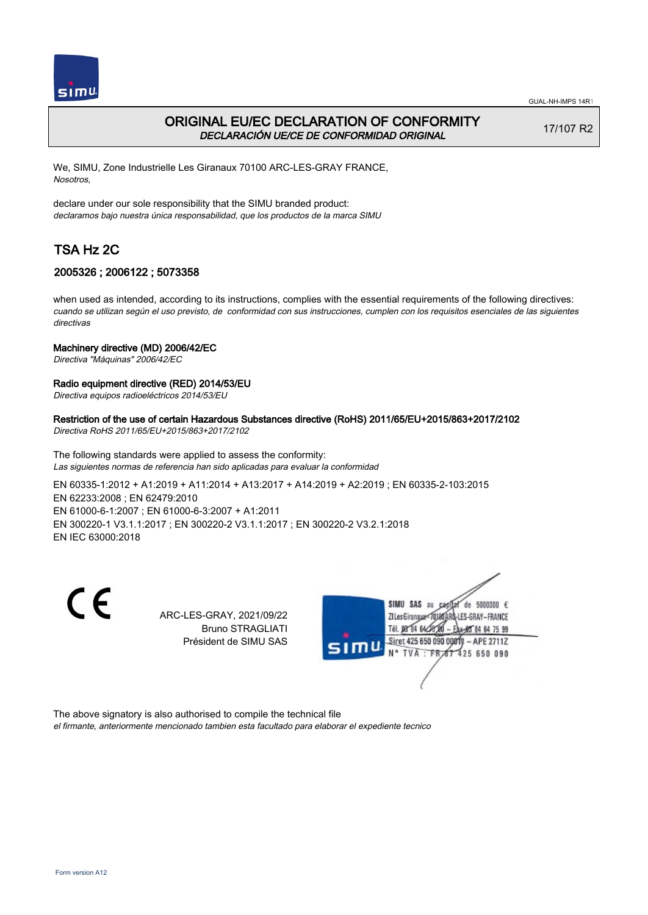

## ORIGINAL EU/EC DECLARATION OF CONFORMITY DECLARACIÓN UE/CE DE CONFORMIDAD ORIGINAL

17/107 R2

We, SIMU, Zone Industrielle Les Giranaux 70100 ARC-LES-GRAY FRANCE, Nosotros,

declare under our sole responsibility that the SIMU branded product: declaramos bajo nuestra única responsabilidad, que los productos de la marca SIMU

# TSA Hz 2C

## 2005326 ; 2006122 ; 5073358

when used as intended, according to its instructions, complies with the essential requirements of the following directives: cuando se utilizan según el uso previsto, de conformidad con sus instrucciones, cumplen con los requisitos esenciales de las siguientes directivas

### Machinery directive (MD) 2006/42/EC

Directiva "Máquinas" 2006/42/EC

### Radio equipment directive (RED) 2014/53/EU

Directiva equipos radioeléctricos 2014/53/EU

# Restriction of the use of certain Hazardous Substances directive (RoHS) 2011/65/EU+2015/863+2017/2102

Directiva RoHS 2011/65/EU+2015/863+2017/2102

The following standards were applied to assess the conformity: Las siguientes normas de referencia han sido aplicadas para evaluar la conformidad

EN 60335‑1:2012 + A1:2019 + A11:2014 + A13:2017 + A14:2019 + A2:2019 ; EN 60335‑2‑103:2015 EN 62233:2008 ; EN 62479:2010 EN 61000‑6‑1:2007 ; EN 61000‑6‑3:2007 + A1:2011 EN 300220‑1 V3.1.1:2017 ; EN 300220‑2 V3.1.1:2017 ; EN 300220‑2 V3.2.1:2018 EN IEC 63000:2018

C F

ARC-LES-GRAY, 2021/09/22 Bruno STRAGLIATI Président de SIMU SAS



The above signatory is also authorised to compile the technical file

el firmante, anteriormente mencionado tambien esta facultado para elaborar el expediente tecnico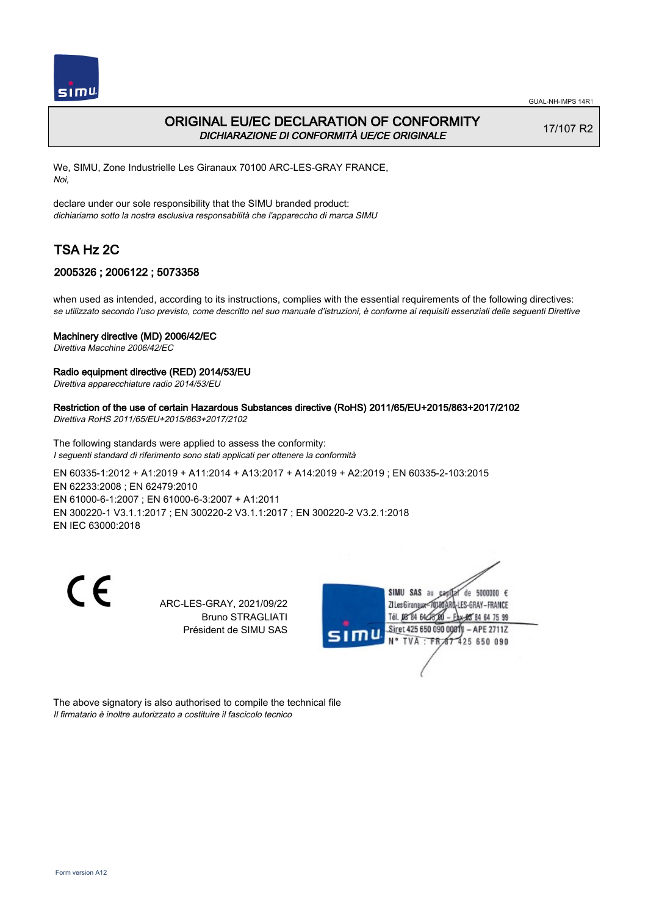

## ORIGINAL EU/EC DECLARATION OF CONFORMITY DICHIARAZIONE DI CONFORMITÀ UE/CE ORIGINALE

17/107 R2

We, SIMU, Zone Industrielle Les Giranaux 70100 ARC-LES-GRAY FRANCE, Noi,

declare under our sole responsibility that the SIMU branded product: dichiariamo sotto la nostra esclusiva responsabilità che l'appareccho di marca SIMU

# TSA Hz 2C

## 2005326 ; 2006122 ; 5073358

when used as intended, according to its instructions, complies with the essential requirements of the following directives: se utilizzato secondo l'uso previsto, come descritto nel suo manuale d'istruzioni, è conforme ai requisiti essenziali delle seguenti Direttive

### Machinery directive (MD) 2006/42/EC

Direttiva Macchine 2006/42/EC

### Radio equipment directive (RED) 2014/53/EU

Direttiva apparecchiature radio 2014/53/EU

## Restriction of the use of certain Hazardous Substances directive (RoHS) 2011/65/EU+2015/863+2017/2102

Direttiva RoHS 2011/65/EU+2015/863+2017/2102

The following standards were applied to assess the conformity: I seguenti standard di riferimento sono stati applicati per ottenere la conformità

EN 60335‑1:2012 + A1:2019 + A11:2014 + A13:2017 + A14:2019 + A2:2019 ; EN 60335‑2‑103:2015 EN 62233:2008 ; EN 62479:2010 EN 61000‑6‑1:2007 ; EN 61000‑6‑3:2007 + A1:2011 EN 300220‑1 V3.1.1:2017 ; EN 300220‑2 V3.1.1:2017 ; EN 300220‑2 V3.2.1:2018 EN IEC 63000:2018

 $\epsilon$ 

ARC-LES-GRAY, 2021/09/22 Bruno STRAGLIATI Président de SIMU SAS



The above signatory is also authorised to compile the technical file Il firmatario è inoltre autorizzato a costituire il fascicolo tecnico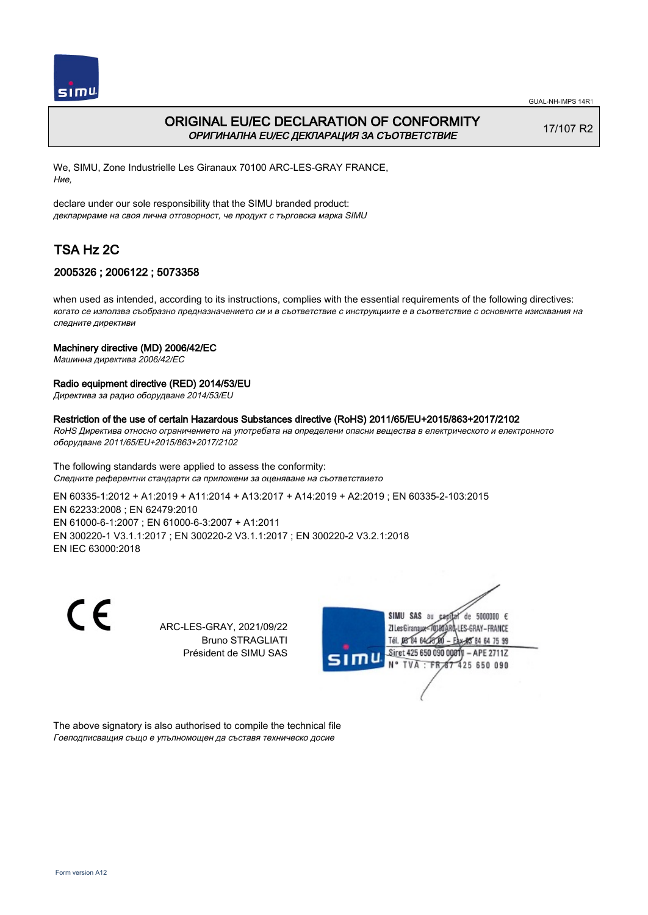

# ORIGINAL EU/EC DECLARATION OF CONFORMITY ОРИГИНАЛНА EU/EC ДЕКЛАРАЦИЯ ЗА СЪОТВЕТСТВИЕ

17/107 R2

We, SIMU, Zone Industrielle Les Giranaux 70100 ARC-LES-GRAY FRANCE, Ние,

declare under our sole responsibility that the SIMU branded product: декларираме на своя лична отговорност, че продукт с търговска марка SIMU

# TSA Hz 2C

## 2005326 ; 2006122 ; 5073358

when used as intended, according to its instructions, complies with the essential requirements of the following directives: когато се използва съобразно предназначението си и в съответствие с инструкциите е в съответствие с основните изисквания на следните директиви

### Machinery directive (MD) 2006/42/EC

Машинна директива 2006/42/EC

### Radio equipment directive (RED) 2014/53/EU

Директива за радио оборудване 2014/53/EU

#### Restriction of the use of certain Hazardous Substances directive (RoHS) 2011/65/EU+2015/863+2017/2102

RoHS Директива относно ограничението на употребата на определени опасни вещества в електрическото и електронното оборудване 2011/65/EU+2015/863+2017/2102

The following standards were applied to assess the conformity: Следните референтни стандарти са приложени за оценяване на съответствието

EN 60335‑1:2012 + A1:2019 + A11:2014 + A13:2017 + A14:2019 + A2:2019 ; EN 60335‑2‑103:2015 EN 62233:2008 ; EN 62479:2010 EN 61000‑6‑1:2007 ; EN 61000‑6‑3:2007 + A1:2011 EN 300220‑1 V3.1.1:2017 ; EN 300220‑2 V3.1.1:2017 ; EN 300220‑2 V3.2.1:2018 EN IEC 63000:2018

C E

ARC-LES-GRAY, 2021/09/22 Bruno STRAGLIATI Président de SIMU SAS



The above signatory is also authorised to compile the technical file Гоеподписващия също е упълномощен да съставя техническо досие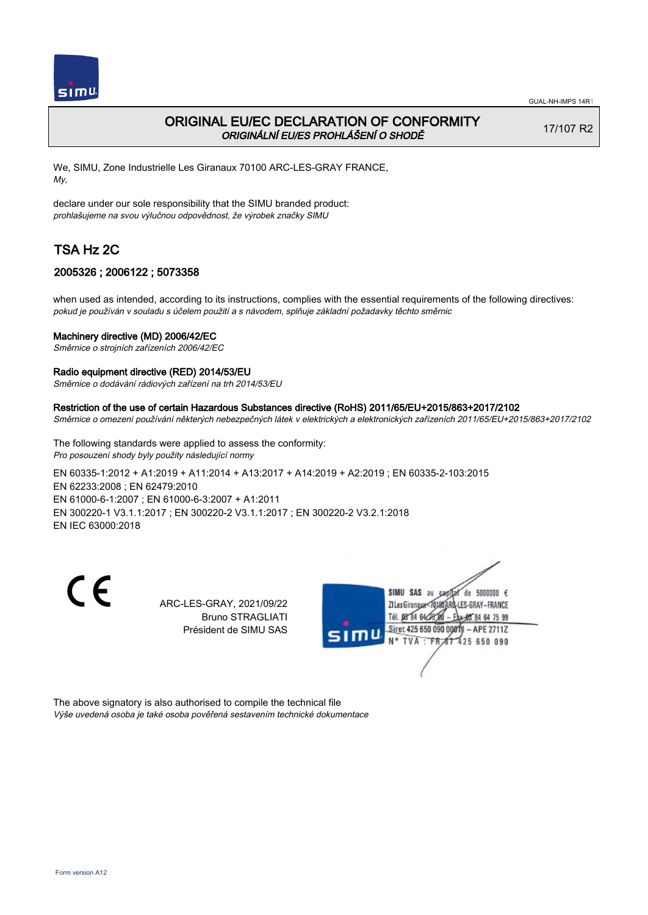

## ORIGINAL EU/EC DECLARATION OF CONFORMITY ORIGINÁLNÍ EU/ES PROHLÁŠENÍ O SHODĚ

17/107 R2

We, SIMU, Zone Industrielle Les Giranaux 70100 ARC-LES-GRAY FRANCE, My,

declare under our sole responsibility that the SIMU branded product: prohlašujeme na svou výlučnou odpovědnost, že výrobek značky SIMU

# TSA Hz 2C

## 2005326 ; 2006122 ; 5073358

when used as intended, according to its instructions, complies with the essential requirements of the following directives: pokud je používán v souladu s účelem použití a s návodem, splňuje základní požadavky těchto směrnic

### Machinery directive (MD) 2006/42/EC

Směrnice o strojních zařízeních 2006/42/EC

#### Radio equipment directive (RED) 2014/53/EU

Směrnice o dodávání rádiových zařízení na trh 2014/53/EU

#### Restriction of the use of certain Hazardous Substances directive (RoHS) 2011/65/EU+2015/863+2017/2102

Směrnice o omezení používání některých nebezpečných látek v elektrických a elektronických zařízeních 2011/65/EU+2015/863+2017/2102

The following standards were applied to assess the conformity: Pro posouzení shody byly použity následující normy

EN 60335‑1:2012 + A1:2019 + A11:2014 + A13:2017 + A14:2019 + A2:2019 ; EN 60335‑2‑103:2015 EN 62233:2008 ; EN 62479:2010 EN 61000‑6‑1:2007 ; EN 61000‑6‑3:2007 + A1:2011 EN 300220‑1 V3.1.1:2017 ; EN 300220‑2 V3.1.1:2017 ; EN 300220‑2 V3.2.1:2018 EN IEC 63000:2018

 $\epsilon$ 

ARC-LES-GRAY, 2021/09/22 Bruno STRAGLIATI Président de SIMU SAS



The above signatory is also authorised to compile the technical file Výše uvedená osoba je také osoba pověřená sestavením technické dokumentace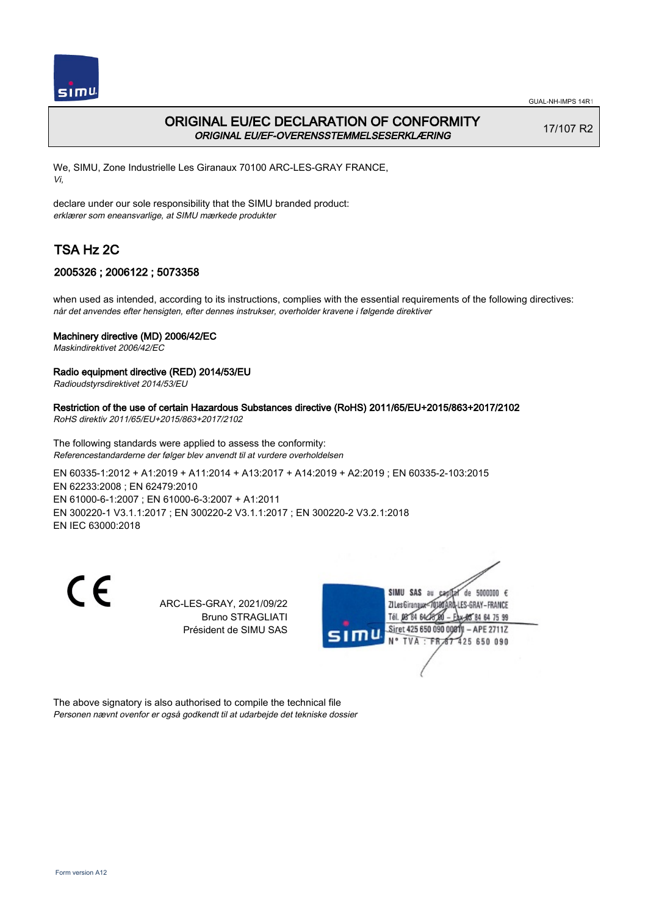

## ORIGINAL EU/EC DECLARATION OF CONFORMITY ORIGINAL EU/EF-OVERENSSTEMMELSESERKLÆRING

17/107 R2

We, SIMU, Zone Industrielle Les Giranaux 70100 ARC-LES-GRAY FRANCE, Vi,

declare under our sole responsibility that the SIMU branded product: erklærer som eneansvarlige, at SIMU mærkede produkter

# TSA Hz 2C

## 2005326 ; 2006122 ; 5073358

when used as intended, according to its instructions, complies with the essential requirements of the following directives: når det anvendes efter hensigten, efter dennes instrukser, overholder kravene i følgende direktiver

### Machinery directive (MD) 2006/42/EC

Maskindirektivet 2006/42/EC

### Radio equipment directive (RED) 2014/53/EU

Radioudstyrsdirektivet 2014/53/EU

### Restriction of the use of certain Hazardous Substances directive (RoHS) 2011/65/EU+2015/863+2017/2102

RoHS direktiv 2011/65/EU+2015/863+2017/2102

The following standards were applied to assess the conformity: Referencestandarderne der følger blev anvendt til at vurdere overholdelsen

EN 60335‑1:2012 + A1:2019 + A11:2014 + A13:2017 + A14:2019 + A2:2019 ; EN 60335‑2‑103:2015 EN 62233:2008 ; EN 62479:2010 EN 61000‑6‑1:2007 ; EN 61000‑6‑3:2007 + A1:2011 EN 300220‑1 V3.1.1:2017 ; EN 300220‑2 V3.1.1:2017 ; EN 300220‑2 V3.2.1:2018 EN IEC 63000:2018

 $\epsilon$ 

ARC-LES-GRAY, 2021/09/22 Bruno STRAGLIATI Président de SIMU SAS



The above signatory is also authorised to compile the technical file Personen nævnt ovenfor er også godkendt til at udarbejde det tekniske dossier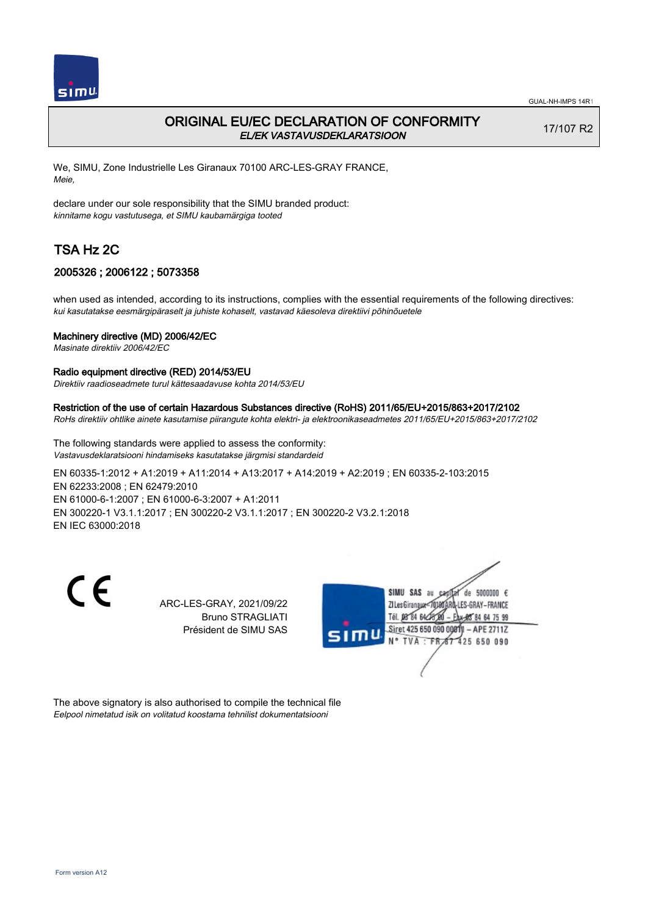

## ORIGINAL EU/EC DECLARATION OF CONFORMITY EL/EK VASTAVUSDEKLARATSIOON

17/107 R2

We, SIMU, Zone Industrielle Les Giranaux 70100 ARC-LES-GRAY FRANCE, Meie,

declare under our sole responsibility that the SIMU branded product: kinnitame kogu vastutusega, et SIMU kaubamärgiga tooted

# TSA Hz 2C

## 2005326 ; 2006122 ; 5073358

when used as intended, according to its instructions, complies with the essential requirements of the following directives: kui kasutatakse eesmärgipäraselt ja juhiste kohaselt, vastavad käesoleva direktiivi põhinõuetele

### Machinery directive (MD) 2006/42/EC

Masinate direktiiv 2006/42/EC

#### Radio equipment directive (RED) 2014/53/EU

Direktiiv raadioseadmete turul kättesaadavuse kohta 2014/53/EU

#### Restriction of the use of certain Hazardous Substances directive (RoHS) 2011/65/EU+2015/863+2017/2102

RoHs direktiiv ohtlike ainete kasutamise piirangute kohta elektri- ja elektroonikaseadmetes 2011/65/EU+2015/863+2017/2102

The following standards were applied to assess the conformity: Vastavusdeklaratsiooni hindamiseks kasutatakse järgmisi standardeid

EN 60335‑1:2012 + A1:2019 + A11:2014 + A13:2017 + A14:2019 + A2:2019 ; EN 60335‑2‑103:2015 EN 62233:2008 ; EN 62479:2010 EN 61000‑6‑1:2007 ; EN 61000‑6‑3:2007 + A1:2011 EN 300220‑1 V3.1.1:2017 ; EN 300220‑2 V3.1.1:2017 ; EN 300220‑2 V3.2.1:2018 EN IEC 63000:2018

 $\epsilon$ 

ARC-LES-GRAY, 2021/09/22 Bruno STRAGLIATI Président de SIMU SAS



The above signatory is also authorised to compile the technical file Eelpool nimetatud isik on volitatud koostama tehnilist dokumentatsiooni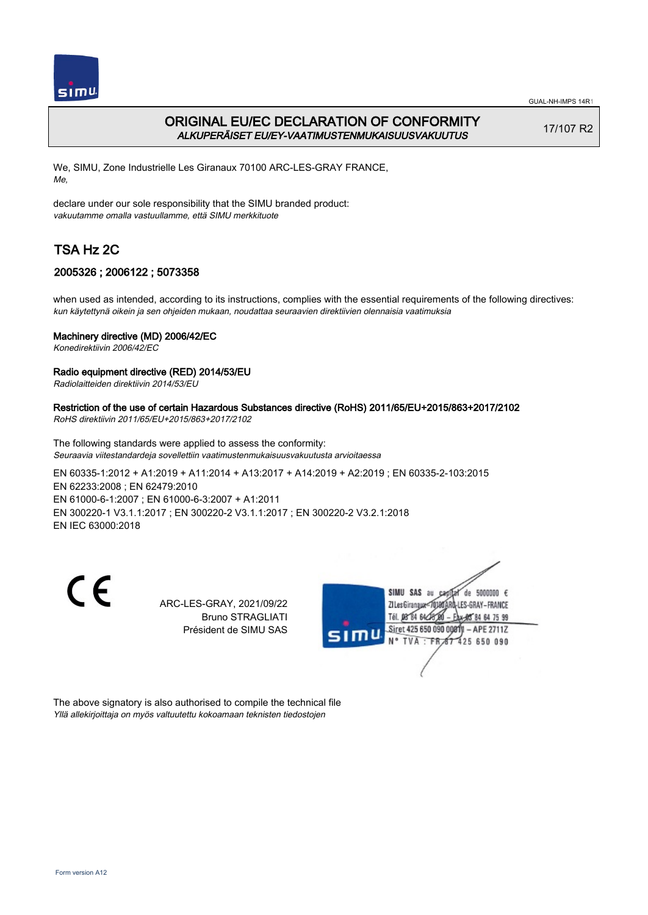

GUAL-NH-IMPS 14R1

# ORIGINAL EU/EC DECLARATION OF CONFORMITY ALKUPERÄISET EU/EY-VAATIMUSTENMUKAISUUSVAKUUTUS

17/107 R2

We, SIMU, Zone Industrielle Les Giranaux 70100 ARC-LES-GRAY FRANCE, Me,

declare under our sole responsibility that the SIMU branded product: vakuutamme omalla vastuullamme, että SIMU merkkituote

# TSA Hz 2C

## 2005326 ; 2006122 ; 5073358

when used as intended, according to its instructions, complies with the essential requirements of the following directives: kun käytettynä oikein ja sen ohjeiden mukaan, noudattaa seuraavien direktiivien olennaisia vaatimuksia

## Machinery directive (MD) 2006/42/EC

Konedirektiivin 2006/42/EC

## Radio equipment directive (RED) 2014/53/EU

Radiolaitteiden direktiivin 2014/53/EU

## Restriction of the use of certain Hazardous Substances directive (RoHS) 2011/65/EU+2015/863+2017/2102

RoHS direktiivin 2011/65/EU+2015/863+2017/2102

The following standards were applied to assess the conformity: Seuraavia viitestandardeja sovellettiin vaatimustenmukaisuusvakuutusta arvioitaessa

EN 60335‑1:2012 + A1:2019 + A11:2014 + A13:2017 + A14:2019 + A2:2019 ; EN 60335‑2‑103:2015 EN 62233:2008 ; EN 62479:2010 EN 61000‑6‑1:2007 ; EN 61000‑6‑3:2007 + A1:2011 EN 300220‑1 V3.1.1:2017 ; EN 300220‑2 V3.1.1:2017 ; EN 300220‑2 V3.2.1:2018 EN IEC 63000:2018

 $\epsilon$ 

ARC-LES-GRAY, 2021/09/22 Bruno STRAGLIATI Président de SIMU SAS



The above signatory is also authorised to compile the technical file Yllä allekirjoittaja on myös valtuutettu kokoamaan teknisten tiedostojen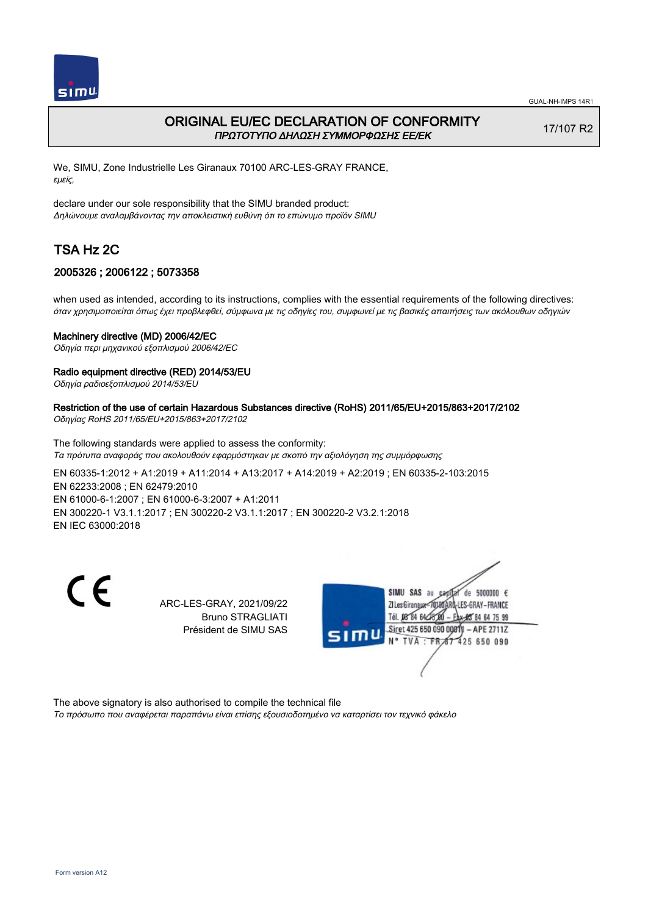

## ORIGINAL EU/EC DECLARATION OF CONFORMITY ΠΡΩΤΟΤΥΠΟ ΔΗΛΩΣΗ ΣΥΜΜΟΡΦΩΣΗΣ ΕΕ/EK

17/107 R2

We, SIMU, Zone Industrielle Les Giranaux 70100 ARC-LES-GRAY FRANCE, εμείς,

declare under our sole responsibility that the SIMU branded product: Δηλώνουμε αναλαμβάνοντας την αποκλειστική ευθύνη ότι το επώνυμο προϊόν SIMU

# TSA Hz 2C

## 2005326 ; 2006122 ; 5073358

when used as intended, according to its instructions, complies with the essential requirements of the following directives: όταν χρησιμοποιείται όπως έχει προβλεφθεί, σύμφωνα με τις οδηγίες του, συμφωνεί με τις βασικές απαιτήσεις των ακόλουθων οδηγιών

### Machinery directive (MD) 2006/42/EC

Οδηγία περι μηχανικού εξοπλισμού 2006/42/EC

### Radio equipment directive (RED) 2014/53/EU

Οδηγία ραδιοεξοπλισμού 2014/53/EU

## Restriction of the use of certain Hazardous Substances directive (RoHS) 2011/65/EU+2015/863+2017/2102

Οδηγίας RoHS 2011/65/EU+2015/863+2017/2102

The following standards were applied to assess the conformity: Τα πρότυπα αναφοράς που ακολουθούν εφαρμόστηκαν με σκοπό την αξιολόγηση της συμμόρφωσης

EN 60335‑1:2012 + A1:2019 + A11:2014 + A13:2017 + A14:2019 + A2:2019 ; EN 60335‑2‑103:2015 EN 62233:2008 ; EN 62479:2010 EN 61000‑6‑1:2007 ; EN 61000‑6‑3:2007 + A1:2011 EN 300220‑1 V3.1.1:2017 ; EN 300220‑2 V3.1.1:2017 ; EN 300220‑2 V3.2.1:2018 EN IEC 63000:2018

 $\epsilon$ 

ARC-LES-GRAY, 2021/09/22 Bruno STRAGLIATI Président de SIMU SAS



The above signatory is also authorised to compile the technical file

Το πρόσωπο που αναφέρεται παραπάνω είναι επίσης εξουσιοδοτημένο να καταρτίσει τον τεχνικό φάκελο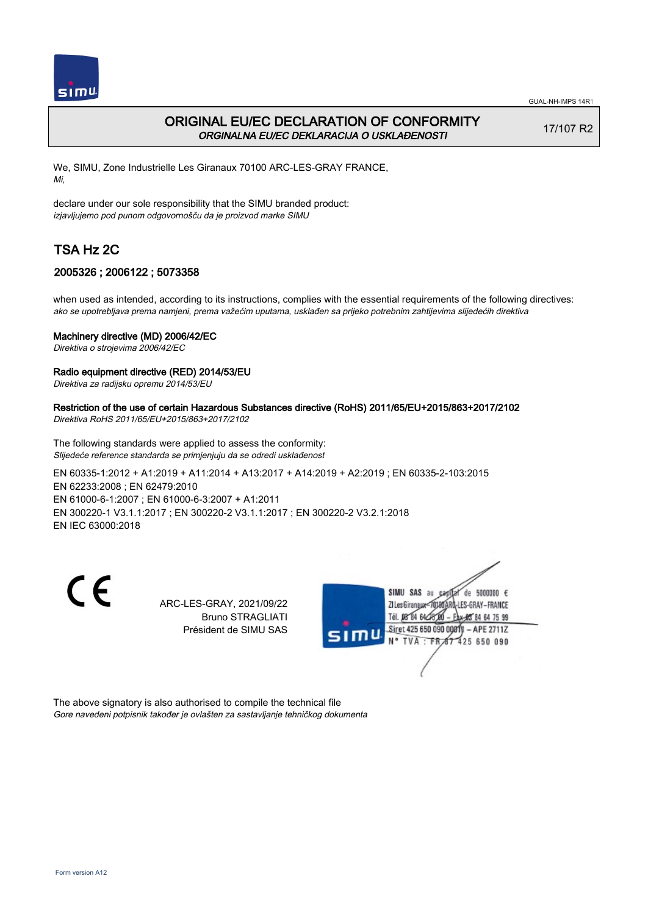

## ORIGINAL EU/EC DECLARATION OF CONFORMITY ORGINALNA EU/EC DEKLARACIJA O USKLAĐENOSTI

17/107 R2

We, SIMU, Zone Industrielle Les Giranaux 70100 ARC-LES-GRAY FRANCE, Mi,

declare under our sole responsibility that the SIMU branded product: izjavljujemo pod punom odgovornošču da je proizvod marke SIMU

# TSA Hz 2C

## 2005326 ; 2006122 ; 5073358

when used as intended, according to its instructions, complies with the essential requirements of the following directives: ako se upotrebljava prema namjeni, prema važećim uputama, usklađen sa prijeko potrebnim zahtijevima slijedećih direktiva

### Machinery directive (MD) 2006/42/EC

Direktiva o strojevima 2006/42/EC

### Radio equipment directive (RED) 2014/53/EU

Direktiva za radijsku opremu 2014/53/EU

## Restriction of the use of certain Hazardous Substances directive (RoHS) 2011/65/EU+2015/863+2017/2102

Direktiva RoHS 2011/65/EU+2015/863+2017/2102

The following standards were applied to assess the conformity: Slijedeće reference standarda se primjenjuju da se odredi usklađenost

EN 60335‑1:2012 + A1:2019 + A11:2014 + A13:2017 + A14:2019 + A2:2019 ; EN 60335‑2‑103:2015 EN 62233:2008 ; EN 62479:2010 EN 61000‑6‑1:2007 ; EN 61000‑6‑3:2007 + A1:2011 EN 300220‑1 V3.1.1:2017 ; EN 300220‑2 V3.1.1:2017 ; EN 300220‑2 V3.2.1:2018 EN IEC 63000:2018

 $\epsilon$ 

ARC-LES-GRAY, 2021/09/22 Bruno STRAGLIATI Président de SIMU SAS



The above signatory is also authorised to compile the technical file Gore navedeni potpisnik također je ovlašten za sastavljanje tehničkog dokumenta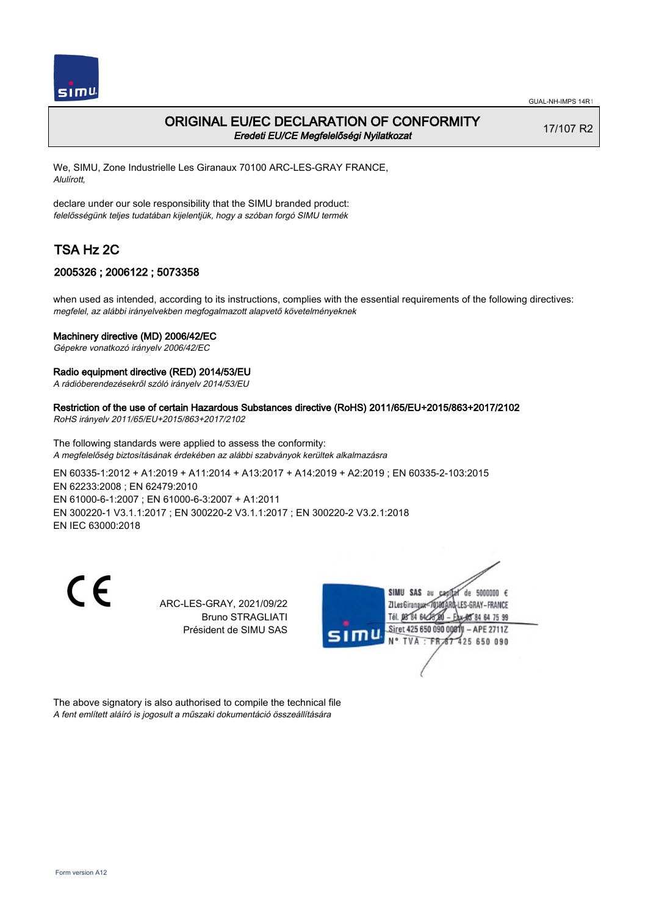

## ORIGINAL EU/EC DECLARATION OF CONFORMITY Eredeti EU/CE Megfelelőségi Nyilatkozat

17/107 R2

We, SIMU, Zone Industrielle Les Giranaux 70100 ARC-LES-GRAY FRANCE, Alulírott,

declare under our sole responsibility that the SIMU branded product: felelősségünk teljes tudatában kijelentjük, hogy a szóban forgó SIMU termék

# TSA Hz 2C

## 2005326 ; 2006122 ; 5073358

when used as intended, according to its instructions, complies with the essential requirements of the following directives: megfelel, az alábbi irányelvekben megfogalmazott alapvető követelményeknek

### Machinery directive (MD) 2006/42/EC

Gépekre vonatkozó irányelv 2006/42/EC

#### Radio equipment directive (RED) 2014/53/EU

A rádióberendezésekről szóló irányelv 2014/53/EU

#### Restriction of the use of certain Hazardous Substances directive (RoHS) 2011/65/EU+2015/863+2017/2102

RoHS irányelv 2011/65/EU+2015/863+2017/2102

The following standards were applied to assess the conformity: A megfelelőség biztosításának érdekében az alábbi szabványok kerültek alkalmazásra

EN 60335‑1:2012 + A1:2019 + A11:2014 + A13:2017 + A14:2019 + A2:2019 ; EN 60335‑2‑103:2015 EN 62233:2008 ; EN 62479:2010 EN 61000‑6‑1:2007 ; EN 61000‑6‑3:2007 + A1:2011 EN 300220‑1 V3.1.1:2017 ; EN 300220‑2 V3.1.1:2017 ; EN 300220‑2 V3.2.1:2018 EN IEC 63000:2018

 $\epsilon$ 

ARC-LES-GRAY, 2021/09/22 Bruno STRAGLIATI Président de SIMU SAS



The above signatory is also authorised to compile the technical file A fent említett aláíró is jogosult a műszaki dokumentáció összeállítására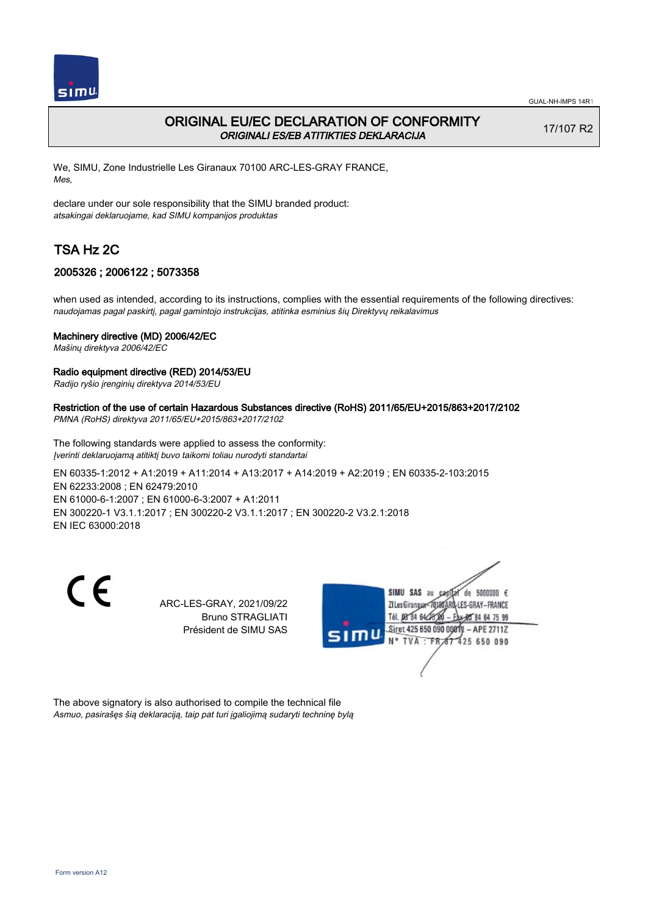

## ORIGINAL EU/EC DECLARATION OF CONFORMITY ORIGINALI ES/EB ATITIKTIES DEKLARACIJA

17/107 R2

We, SIMU, Zone Industrielle Les Giranaux 70100 ARC-LES-GRAY FRANCE, Mes,

declare under our sole responsibility that the SIMU branded product: atsakingai deklaruojame, kad SIMU kompanijos produktas

# TSA Hz 2C

## 2005326 ; 2006122 ; 5073358

when used as intended, according to its instructions, complies with the essential requirements of the following directives: naudojamas pagal paskirtį, pagal gamintojo instrukcijas, atitinka esminius šių Direktyvų reikalavimus

### Machinery directive (MD) 2006/42/EC

Mašinų direktyva 2006/42/EC

### Radio equipment directive (RED) 2014/53/EU

Radijo ryšio įrenginių direktyva 2014/53/EU

## Restriction of the use of certain Hazardous Substances directive (RoHS) 2011/65/EU+2015/863+2017/2102

PMNA (RoHS) direktyva 2011/65/EU+2015/863+2017/2102

The following standards were applied to assess the conformity: Įverinti deklaruojamą atitiktį buvo taikomi toliau nurodyti standartai

EN 60335‑1:2012 + A1:2019 + A11:2014 + A13:2017 + A14:2019 + A2:2019 ; EN 60335‑2‑103:2015 EN 62233:2008 ; EN 62479:2010 EN 61000‑6‑1:2007 ; EN 61000‑6‑3:2007 + A1:2011 EN 300220‑1 V3.1.1:2017 ; EN 300220‑2 V3.1.1:2017 ; EN 300220‑2 V3.2.1:2018 EN IEC 63000:2018

 $\epsilon$ 

ARC-LES-GRAY, 2021/09/22 Bruno STRAGLIATI Président de SIMU SAS



The above signatory is also authorised to compile the technical file Asmuo, pasirašęs šią deklaraciją, taip pat turi įgaliojimą sudaryti techninę bylą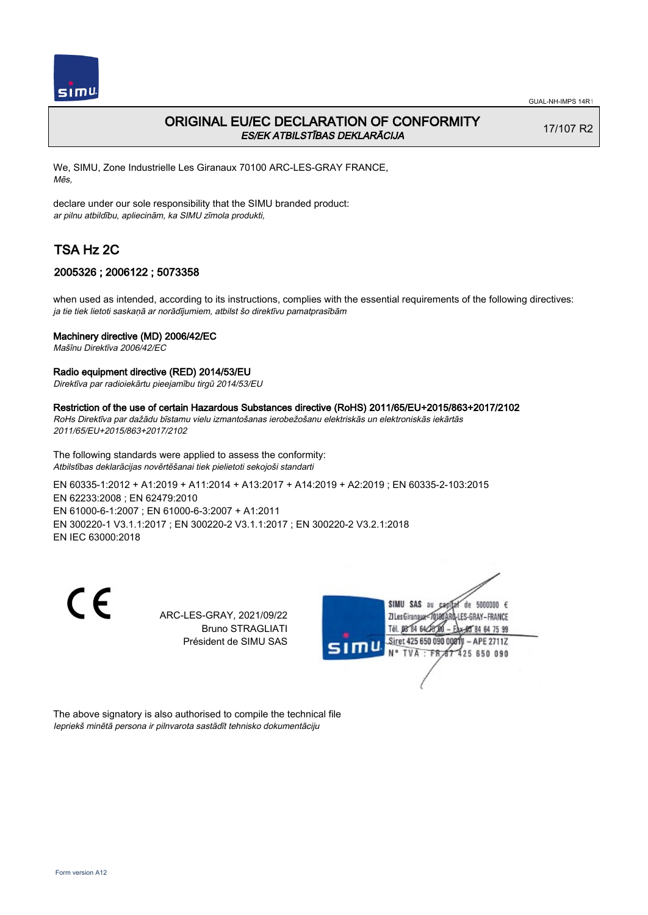

## ORIGINAL EU/EC DECLARATION OF CONFORMITY ES/EK ATBILSTĪBAS DEKLARĀCIJA

17/107 R2

We, SIMU, Zone Industrielle Les Giranaux 70100 ARC-LES-GRAY FRANCE, Mēs,

declare under our sole responsibility that the SIMU branded product: ar pilnu atbildību, apliecinām, ka SIMU zīmola produkti,

# TSA Hz 2C

## 2005326 ; 2006122 ; 5073358

when used as intended, according to its instructions, complies with the essential requirements of the following directives: ja tie tiek lietoti saskaņā ar norādījumiem, atbilst šo direktīvu pamatprasībām

### Machinery directive (MD) 2006/42/EC

Mašīnu Direktīva 2006/42/EC

### Radio equipment directive (RED) 2014/53/EU

Direktīva par radioiekārtu pieejamību tirgū 2014/53/EU

### Restriction of the use of certain Hazardous Substances directive (RoHS) 2011/65/EU+2015/863+2017/2102

RoHs Direktīva par dažādu bīstamu vielu izmantošanas ierobežošanu elektriskās un elektroniskās iekārtās 2011/65/EU+2015/863+2017/2102

The following standards were applied to assess the conformity: Atbilstības deklarācijas novērtēšanai tiek pielietoti sekojoši standarti

EN 60335‑1:2012 + A1:2019 + A11:2014 + A13:2017 + A14:2019 + A2:2019 ; EN 60335‑2‑103:2015 EN 62233:2008 ; EN 62479:2010 EN 61000‑6‑1:2007 ; EN 61000‑6‑3:2007 + A1:2011 EN 300220‑1 V3.1.1:2017 ; EN 300220‑2 V3.1.1:2017 ; EN 300220‑2 V3.2.1:2018 EN IEC 63000:2018

C F

ARC-LES-GRAY, 2021/09/22 Bruno STRAGLIATI Président de SIMU SAS



The above signatory is also authorised to compile the technical file Iepriekš minētā persona ir pilnvarota sastādīt tehnisko dokumentāciju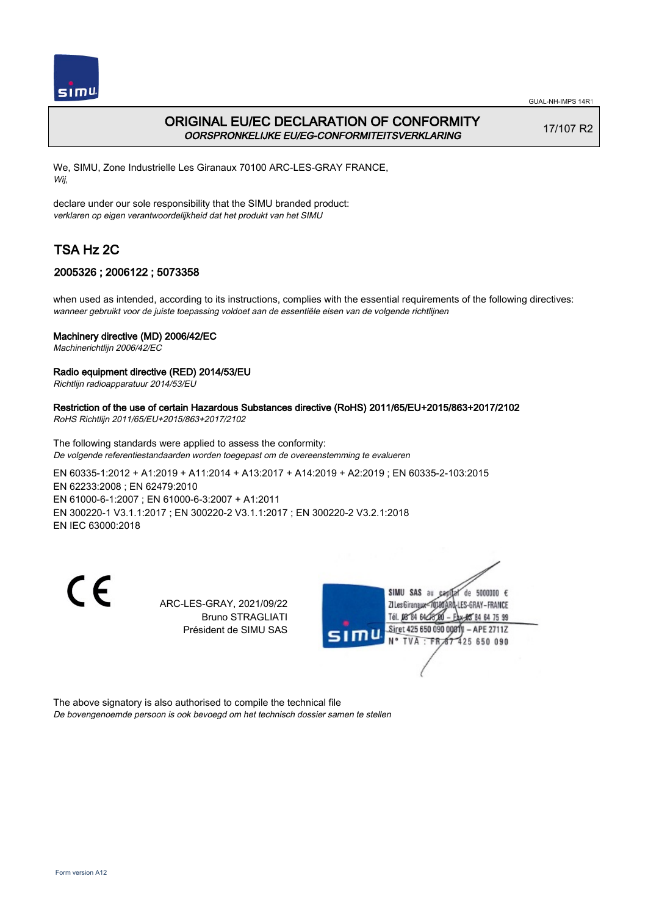

# ORIGINAL EU/EC DECLARATION OF CONFORMITY OORSPRONKELIJKE EU/EG-CONFORMITEITSVERKLARING

17/107 R2

We, SIMU, Zone Industrielle Les Giranaux 70100 ARC-LES-GRAY FRANCE, Wij,

declare under our sole responsibility that the SIMU branded product: verklaren op eigen verantwoordelijkheid dat het produkt van het SIMU

# TSA Hz 2C

## 2005326 ; 2006122 ; 5073358

when used as intended, according to its instructions, complies with the essential requirements of the following directives: wanneer gebruikt voor de juiste toepassing voldoet aan de essentiële eisen van de volgende richtlijnen

### Machinery directive (MD) 2006/42/EC

Machinerichtlijn 2006/42/EC

### Radio equipment directive (RED) 2014/53/EU

Richtlijn radioapparatuur 2014/53/EU

## Restriction of the use of certain Hazardous Substances directive (RoHS) 2011/65/EU+2015/863+2017/2102

RoHS Richtlijn 2011/65/EU+2015/863+2017/2102

The following standards were applied to assess the conformity: De volgende referentiestandaarden worden toegepast om de overeenstemming te evalueren

EN 60335‑1:2012 + A1:2019 + A11:2014 + A13:2017 + A14:2019 + A2:2019 ; EN 60335‑2‑103:2015 EN 62233:2008 ; EN 62479:2010 EN 61000‑6‑1:2007 ; EN 61000‑6‑3:2007 + A1:2011 EN 300220‑1 V3.1.1:2017 ; EN 300220‑2 V3.1.1:2017 ; EN 300220‑2 V3.2.1:2018 EN IEC 63000:2018

 $\epsilon$ 

ARC-LES-GRAY, 2021/09/22 Bruno STRAGLIATI Président de SIMU SAS



The above signatory is also authorised to compile the technical file De bovengenoemde persoon is ook bevoegd om het technisch dossier samen te stellen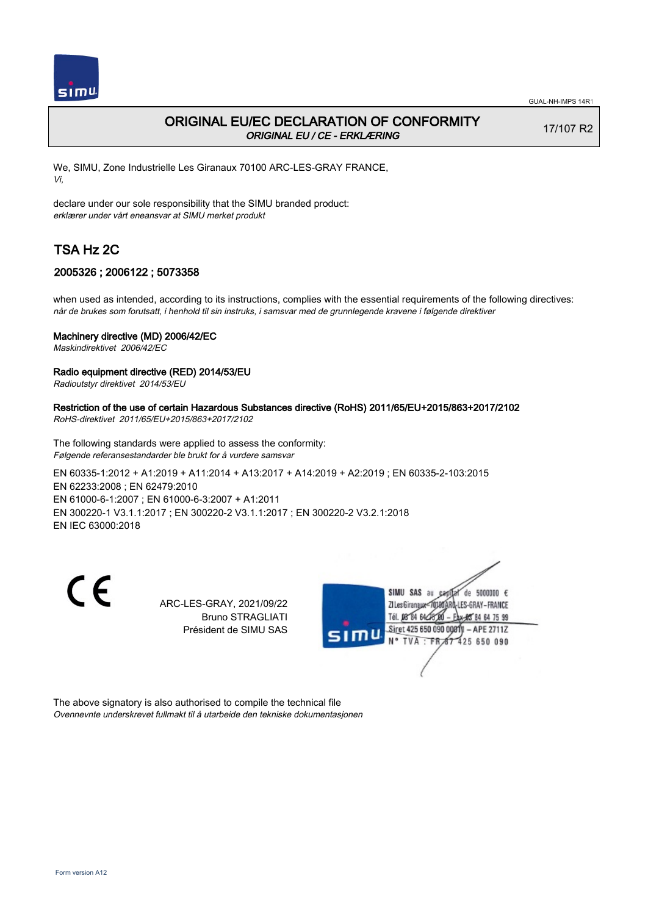

## ORIGINAL EU/EC DECLARATION OF CONFORMITY ORIGINAL EU / CE - ERKLÆRING

17/107 R2

We, SIMU, Zone Industrielle Les Giranaux 70100 ARC-LES-GRAY FRANCE, Vi,

declare under our sole responsibility that the SIMU branded product: erklærer under vårt eneansvar at SIMU merket produkt

# TSA Hz 2C

## 2005326 ; 2006122 ; 5073358

when used as intended, according to its instructions, complies with the essential requirements of the following directives: når de brukes som forutsatt, i henhold til sin instruks, i samsvar med de grunnlegende kravene i følgende direktiver

### Machinery directive (MD) 2006/42/EC

Maskindirektivet 2006/42/EC

### Radio equipment directive (RED) 2014/53/EU

Radioutstyr direktivet 2014/53/EU

## Restriction of the use of certain Hazardous Substances directive (RoHS) 2011/65/EU+2015/863+2017/2102

RoHS-direktivet 2011/65/EU+2015/863+2017/2102

The following standards were applied to assess the conformity: Følgende referansestandarder ble brukt for å vurdere samsvar

EN 60335‑1:2012 + A1:2019 + A11:2014 + A13:2017 + A14:2019 + A2:2019 ; EN 60335‑2‑103:2015 EN 62233:2008 ; EN 62479:2010 EN 61000‑6‑1:2007 ; EN 61000‑6‑3:2007 + A1:2011 EN 300220‑1 V3.1.1:2017 ; EN 300220‑2 V3.1.1:2017 ; EN 300220‑2 V3.2.1:2018 EN IEC 63000:2018

CE

ARC-LES-GRAY, 2021/09/22 Bruno STRAGLIATI Président de SIMU SAS



The above signatory is also authorised to compile the technical file Ovennevnte underskrevet fullmakt til å utarbeide den tekniske dokumentasjonen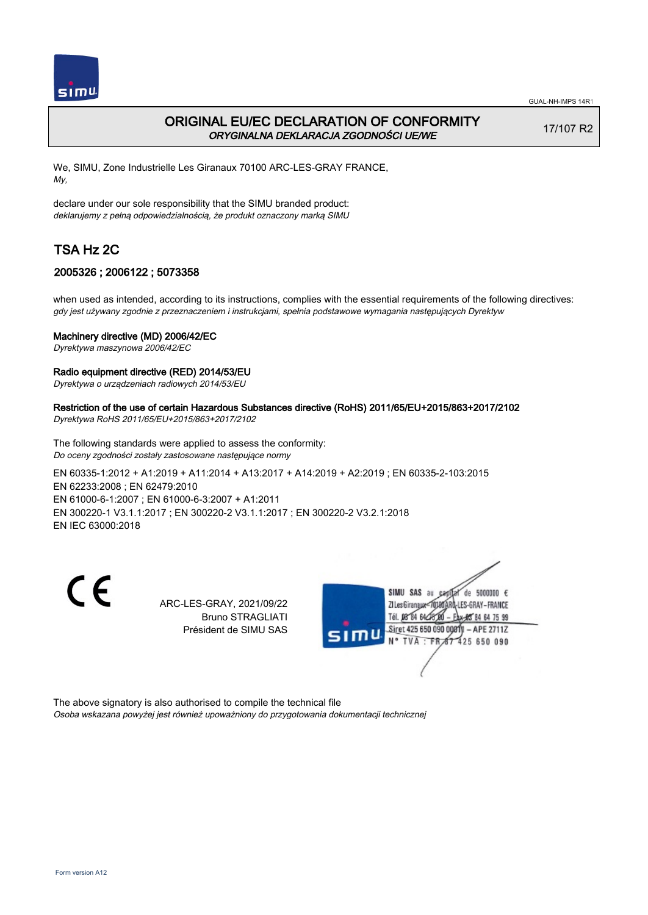

## ORIGINAL EU/EC DECLARATION OF CONFORMITY ORYGINALNA DEKLARACJA ZGODNOŚCI UE/WE

17/107 R2

We, SIMU, Zone Industrielle Les Giranaux 70100 ARC-LES-GRAY FRANCE, My,

declare under our sole responsibility that the SIMU branded product: deklarujemy z pełną odpowiedzialnością, że produkt oznaczony marką SIMU

# TSA Hz 2C

## 2005326 ; 2006122 ; 5073358

when used as intended, according to its instructions, complies with the essential requirements of the following directives: gdy jest używany zgodnie z przeznaczeniem i instrukcjami, spełnia podstawowe wymagania następujących Dyrektyw

### Machinery directive (MD) 2006/42/EC

Dyrektywa maszynowa 2006/42/EC

### Radio equipment directive (RED) 2014/53/EU

Dyrektywa o urządzeniach radiowych 2014/53/EU

### Restriction of the use of certain Hazardous Substances directive (RoHS) 2011/65/EU+2015/863+2017/2102

Dyrektywa RoHS 2011/65/EU+2015/863+2017/2102

The following standards were applied to assess the conformity: Do oceny zgodności zostały zastosowane następujące normy

EN 60335‑1:2012 + A1:2019 + A11:2014 + A13:2017 + A14:2019 + A2:2019 ; EN 60335‑2‑103:2015 EN 62233:2008 ; EN 62479:2010 EN 61000‑6‑1:2007 ; EN 61000‑6‑3:2007 + A1:2011 EN 300220‑1 V3.1.1:2017 ; EN 300220‑2 V3.1.1:2017 ; EN 300220‑2 V3.2.1:2018 EN IEC 63000:2018

 $\epsilon$ 

ARC-LES-GRAY, 2021/09/22 Bruno STRAGLIATI Président de SIMU SAS



The above signatory is also authorised to compile the technical file Osoba wskazana powyżej jest również upoważniony do przygotowania dokumentacji technicznej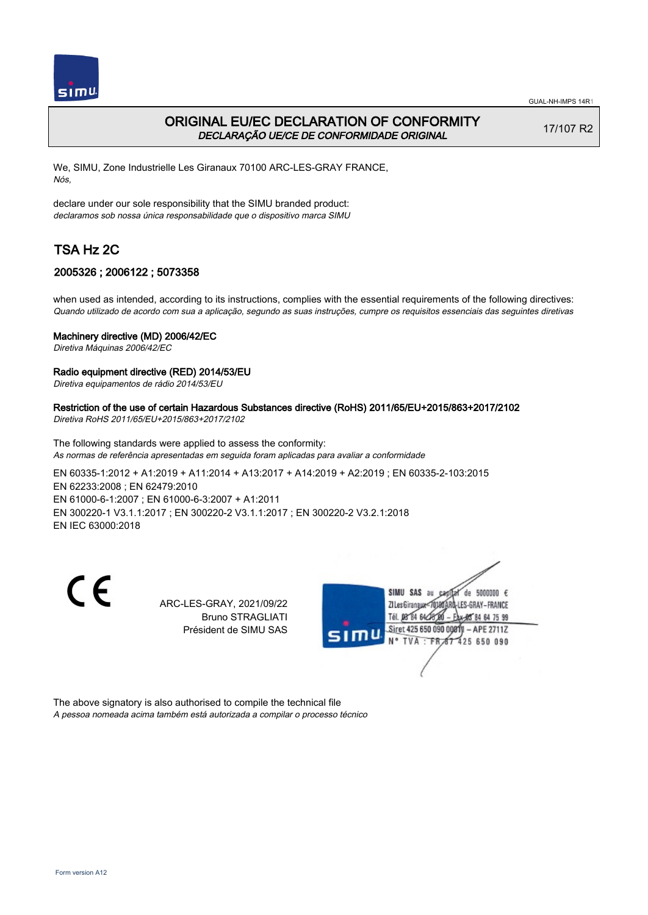

## ORIGINAL EU/EC DECLARATION OF CONFORMITY DECLARAÇÃO UE/CE DE CONFORMIDADE ORIGINAL

17/107 R2

We, SIMU, Zone Industrielle Les Giranaux 70100 ARC-LES-GRAY FRANCE, Nós,

declare under our sole responsibility that the SIMU branded product: declaramos sob nossa única responsabilidade que o dispositivo marca SIMU

# TSA Hz 2C

## 2005326 ; 2006122 ; 5073358

when used as intended, according to its instructions, complies with the essential requirements of the following directives: Quando utilizado de acordo com sua a aplicação, segundo as suas instruções, cumpre os requisitos essenciais das seguintes diretivas

### Machinery directive (MD) 2006/42/EC

Diretiva Máquinas 2006/42/EC

### Radio equipment directive (RED) 2014/53/EU

Diretiva equipamentos de rádio 2014/53/EU

### Restriction of the use of certain Hazardous Substances directive (RoHS) 2011/65/EU+2015/863+2017/2102

Diretiva RoHS 2011/65/EU+2015/863+2017/2102

The following standards were applied to assess the conformity: As normas de referência apresentadas em seguida foram aplicadas para avaliar a conformidade

EN 60335‑1:2012 + A1:2019 + A11:2014 + A13:2017 + A14:2019 + A2:2019 ; EN 60335‑2‑103:2015 EN 62233:2008 ; EN 62479:2010 EN 61000‑6‑1:2007 ; EN 61000‑6‑3:2007 + A1:2011 EN 300220‑1 V3.1.1:2017 ; EN 300220‑2 V3.1.1:2017 ; EN 300220‑2 V3.2.1:2018 EN IEC 63000:2018

 $\epsilon$ 

ARC-LES-GRAY, 2021/09/22 Bruno STRAGLIATI Président de SIMU SAS



The above signatory is also authorised to compile the technical file A pessoa nomeada acima também está autorizada a compilar o processo técnico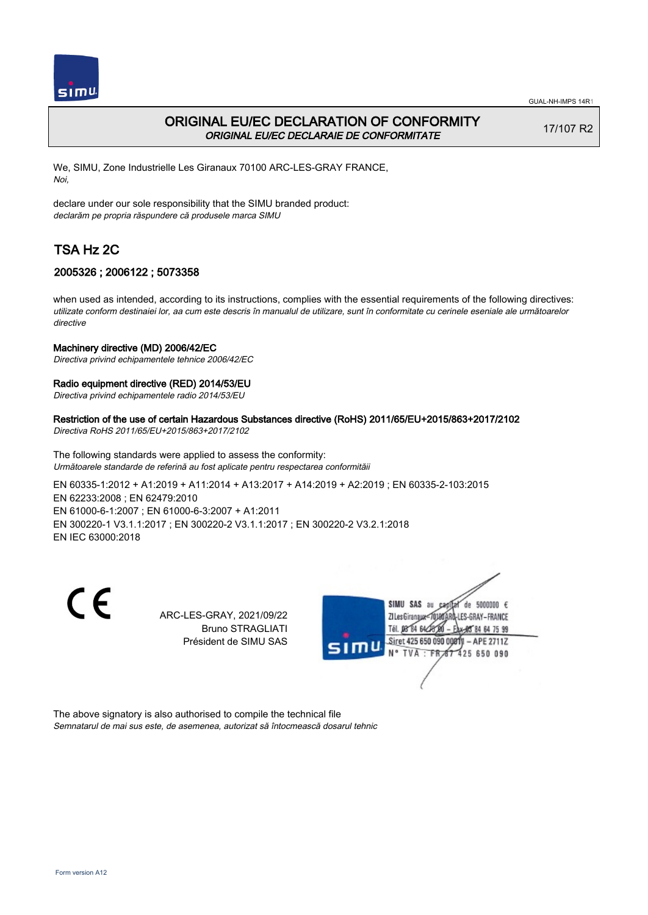

## ORIGINAL EU/EC DECLARATION OF CONFORMITY ORIGINAL EU/EC DECLARAIE DE CONFORMITATE

17/107 R2

We, SIMU, Zone Industrielle Les Giranaux 70100 ARC-LES-GRAY FRANCE, Noi,

declare under our sole responsibility that the SIMU branded product: declarăm pe propria răspundere că produsele marca SIMU

# TSA Hz 2C

## 2005326 ; 2006122 ; 5073358

when used as intended, according to its instructions, complies with the essential requirements of the following directives: utilizate conform destinaiei lor, aa cum este descris în manualul de utilizare, sunt în conformitate cu cerinele eseniale ale următoarelor directive

#### Machinery directive (MD) 2006/42/EC

Directiva privind echipamentele tehnice 2006/42/EC

### Radio equipment directive (RED) 2014/53/EU

Directiva privind echipamentele radio 2014/53/EU

## Restriction of the use of certain Hazardous Substances directive (RoHS) 2011/65/EU+2015/863+2017/2102

Directiva RoHS 2011/65/EU+2015/863+2017/2102

The following standards were applied to assess the conformity: Următoarele standarde de referină au fost aplicate pentru respectarea conformităii

EN 60335‑1:2012 + A1:2019 + A11:2014 + A13:2017 + A14:2019 + A2:2019 ; EN 60335‑2‑103:2015 EN 62233:2008 ; EN 62479:2010 EN 61000‑6‑1:2007 ; EN 61000‑6‑3:2007 + A1:2011 EN 300220‑1 V3.1.1:2017 ; EN 300220‑2 V3.1.1:2017 ; EN 300220‑2 V3.2.1:2018 EN IEC 63000:2018

C F

ARC-LES-GRAY, 2021/09/22 Bruno STRAGLIATI Président de SIMU SAS



The above signatory is also authorised to compile the technical file Semnatarul de mai sus este, de asemenea, autorizat să întocmească dosarul tehnic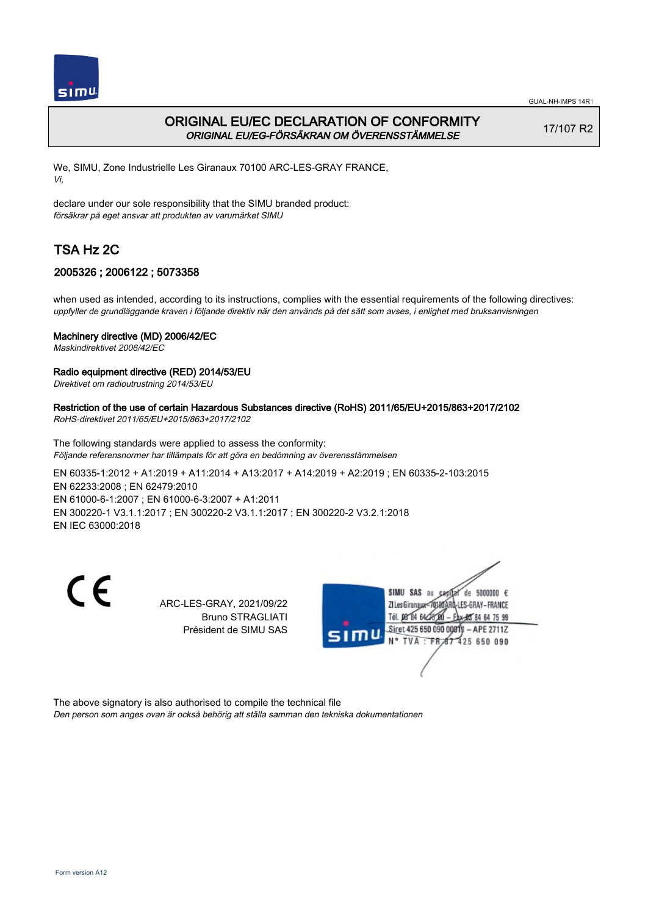

# ORIGINAL EU/EC DECLARATION OF CONFORMITY ORIGINAL EU/EG-FÖRSÄKRAN OM ÖVERENSSTÄMMELSE

17/107 R2

We, SIMU, Zone Industrielle Les Giranaux 70100 ARC-LES-GRAY FRANCE, Vi,

declare under our sole responsibility that the SIMU branded product: försäkrar på eget ansvar att produkten av varumärket SIMU

# TSA Hz 2C

## 2005326 ; 2006122 ; 5073358

when used as intended, according to its instructions, complies with the essential requirements of the following directives: uppfyller de grundläggande kraven i följande direktiv när den används på det sätt som avses, i enlighet med bruksanvisningen

### Machinery directive (MD) 2006/42/EC

Maskindirektivet 2006/42/EC

### Radio equipment directive (RED) 2014/53/EU

Direktivet om radioutrustning 2014/53/EU

## Restriction of the use of certain Hazardous Substances directive (RoHS) 2011/65/EU+2015/863+2017/2102

RoHS-direktivet 2011/65/EU+2015/863+2017/2102

The following standards were applied to assess the conformity: Följande referensnormer har tillämpats för att göra en bedömning av överensstämmelsen

EN 60335‑1:2012 + A1:2019 + A11:2014 + A13:2017 + A14:2019 + A2:2019 ; EN 60335‑2‑103:2015 EN 62233:2008 ; EN 62479:2010 EN 61000‑6‑1:2007 ; EN 61000‑6‑3:2007 + A1:2011 EN 300220‑1 V3.1.1:2017 ; EN 300220‑2 V3.1.1:2017 ; EN 300220‑2 V3.2.1:2018 EN IEC 63000:2018

 $\epsilon$ 

ARC-LES-GRAY, 2021/09/22 Bruno STRAGLIATI Président de SIMU SAS



The above signatory is also authorised to compile the technical file Den person som anges ovan är också behörig att ställa samman den tekniska dokumentationen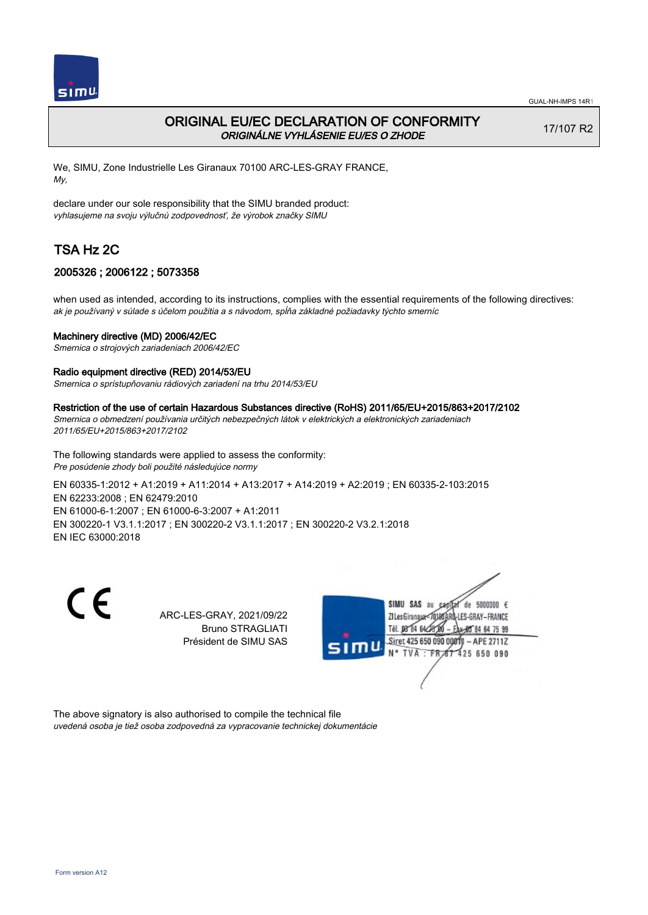

## ORIGINAL EU/EC DECLARATION OF CONFORMITY ORIGINÁLNE VYHLÁSENIE EU/ES O ZHODE

17/107 R2

We, SIMU, Zone Industrielle Les Giranaux 70100 ARC-LES-GRAY FRANCE, My,

declare under our sole responsibility that the SIMU branded product: vyhlasujeme na svoju výlučnú zodpovednosť, že výrobok značky SIMU

# TSA Hz 2C

## 2005326 ; 2006122 ; 5073358

when used as intended, according to its instructions, complies with the essential requirements of the following directives: ak je používaný v súlade s účelom použitia a s návodom, spĺňa základné požiadavky týchto smerníc

### Machinery directive (MD) 2006/42/EC

Smernica o strojových zariadeniach 2006/42/EC

### Radio equipment directive (RED) 2014/53/EU

Smernica o sprístupňovaniu rádiových zariadení na trhu 2014/53/EU

#### Restriction of the use of certain Hazardous Substances directive (RoHS) 2011/65/EU+2015/863+2017/2102

Smernica o obmedzení používania určitých nebezpečných látok v elektrických a elektronických zariadeniach 2011/65/EU+2015/863+2017/2102

The following standards were applied to assess the conformity: Pre posúdenie zhody boli použité následujúce normy

EN 60335‑1:2012 + A1:2019 + A11:2014 + A13:2017 + A14:2019 + A2:2019 ; EN 60335‑2‑103:2015 EN 62233:2008 ; EN 62479:2010 EN 61000‑6‑1:2007 ; EN 61000‑6‑3:2007 + A1:2011 EN 300220‑1 V3.1.1:2017 ; EN 300220‑2 V3.1.1:2017 ; EN 300220‑2 V3.2.1:2018 EN IEC 63000:2018

C F

ARC-LES-GRAY, 2021/09/22 Bruno STRAGLIATI Président de SIMU SAS



The above signatory is also authorised to compile the technical file uvedená osoba je tiež osoba zodpovedná za vypracovanie technickej dokumentácie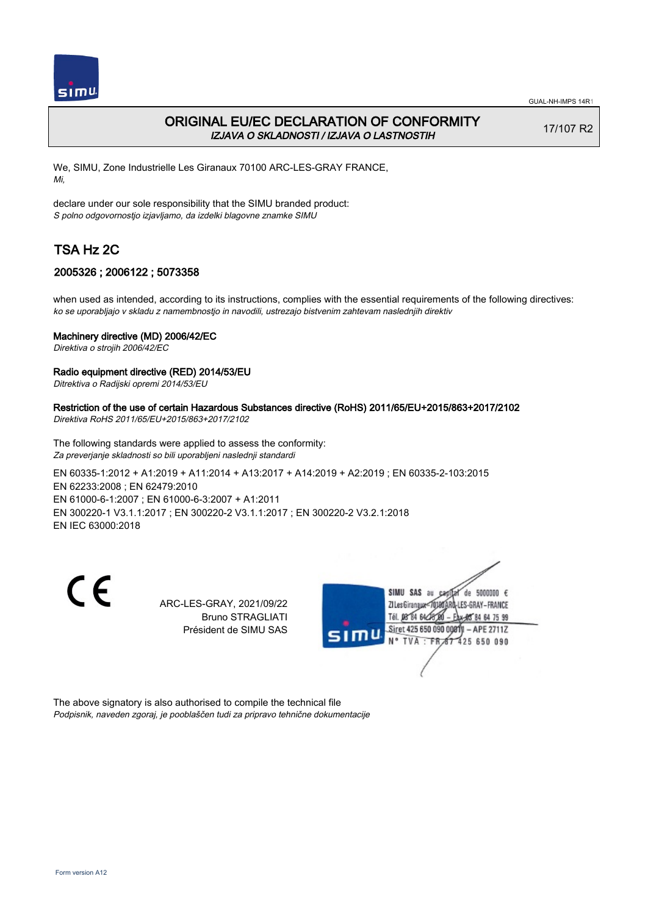

## ORIGINAL EU/EC DECLARATION OF CONFORMITY IZJAVA O SKLADNOSTI / IZJAVA O LASTNOSTIH

17/107 R2

We, SIMU, Zone Industrielle Les Giranaux 70100 ARC-LES-GRAY FRANCE, Mi,

declare under our sole responsibility that the SIMU branded product: S polno odgovornostjo izjavljamo, da izdelki blagovne znamke SIMU

# TSA Hz 2C

## 2005326 ; 2006122 ; 5073358

when used as intended, according to its instructions, complies with the essential requirements of the following directives: ko se uporabljajo v skladu z namembnostjo in navodili, ustrezajo bistvenim zahtevam naslednjih direktiv

### Machinery directive (MD) 2006/42/EC

Direktiva o strojih 2006/42/EC

### Radio equipment directive (RED) 2014/53/EU

Ditrektiva o Radijski opremi 2014/53/EU

## Restriction of the use of certain Hazardous Substances directive (RoHS) 2011/65/EU+2015/863+2017/2102

Direktiva RoHS 2011/65/EU+2015/863+2017/2102

The following standards were applied to assess the conformity: Za preverjanje skladnosti so bili uporabljeni naslednji standardi

EN 60335‑1:2012 + A1:2019 + A11:2014 + A13:2017 + A14:2019 + A2:2019 ; EN 60335‑2‑103:2015 EN 62233:2008 ; EN 62479:2010 EN 61000‑6‑1:2007 ; EN 61000‑6‑3:2007 + A1:2011 EN 300220‑1 V3.1.1:2017 ; EN 300220‑2 V3.1.1:2017 ; EN 300220‑2 V3.2.1:2018 EN IEC 63000:2018

 $\epsilon$ 

ARC-LES-GRAY, 2021/09/22 Bruno STRAGLIATI Président de SIMU SAS



The above signatory is also authorised to compile the technical file Podpisnik, naveden zgoraj, je pooblaščen tudi za pripravo tehnične dokumentacije